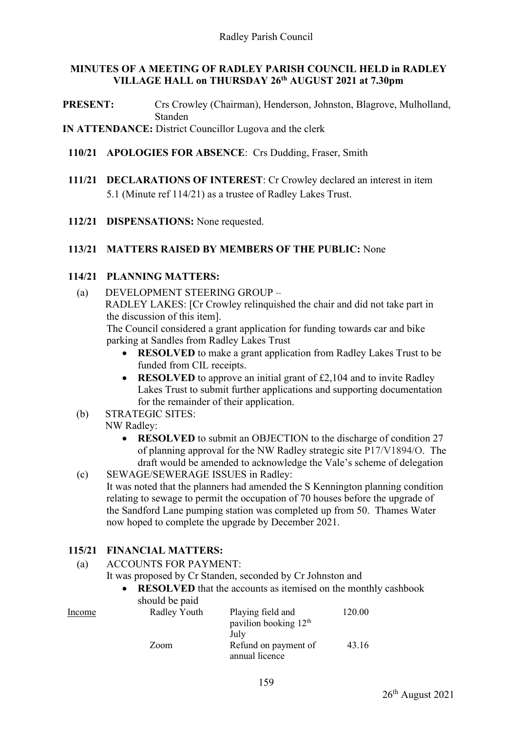### **MINUTES OF A MEETING OF RADLEY PARISH COUNCIL HELD in RADLEY VILLAGE HALL on THURSDAY 26th AUGUST 2021 at 7.30pm**

**PRESENT:** Crs Crowley (Chairman), Henderson, Johnston, Blagrove, Mulholland, Standen

**IN ATTENDANCE:** District Councillor Lugova and the clerk

- **110/21 APOLOGIES FOR ABSENCE**: Crs Dudding, Fraser, Smith
- **111/21 DECLARATIONS OF INTEREST**: Cr Crowley declared an interest in item 5.1 (Minute ref 114/21) as a trustee of Radley Lakes Trust.
- **112/21 DISPENSATIONS:** None requested.

## **113/21 MATTERS RAISED BY MEMBERS OF THE PUBLIC:** None

## **114/21 PLANNING MATTERS:**

(a) DEVELOPMENT STEERING GROUP – RADLEY LAKES: [Cr Crowley relinquished the chair and did not take part in the discussion of this item]. The Council considered a grant application for funding towards car and bike

parking at Sandles from Radley Lakes Trust

- **RESOLVED** to make a grant application from Radley Lakes Trust to be funded from CIL receipts.
- **RESOLVED** to approve an initial grant of £2,104 and to invite Radley Lakes Trust to submit further applications and supporting documentation for the remainder of their application.
- (b) STRATEGIC SITES:

# NW Radley:

- **RESOLVED** to submit an OBJECTION to the discharge of condition 27 of planning approval for the NW Radley strategic site P17/V1894/O. The draft would be amended to acknowledge the Vale's scheme of delegation
- (c) SEWAGE/SEWERAGE ISSUES in Radley: It was noted that the planners had amended the S Kennington planning condition relating to sewage to permit the occupation of 70 houses before the upgrade of the Sandford Lane pumping station was completed up from 50. Thames Water now hoped to complete the upgrade by December 2021.

# **115/21 FINANCIAL MATTERS:**

- (a) ACCOUNTS FOR PAYMENT:
	- It was proposed by Cr Standen, seconded by Cr Johnston and
		- **RESOLVED** that the accounts as itemised on the monthly cashbook should be paid

|        | $_{\text{max}}$ $_{\text{max}}$ |                                   |        |
|--------|---------------------------------|-----------------------------------|--------|
| Income | Radley Youth                    | Playing field and                 | 120.00 |
|        |                                 | pavilion booking 12 <sup>th</sup> |        |
|        |                                 | July                              |        |
|        | Zoom                            | Refund on payment of              | 43.16  |
|        |                                 | annual licence                    |        |